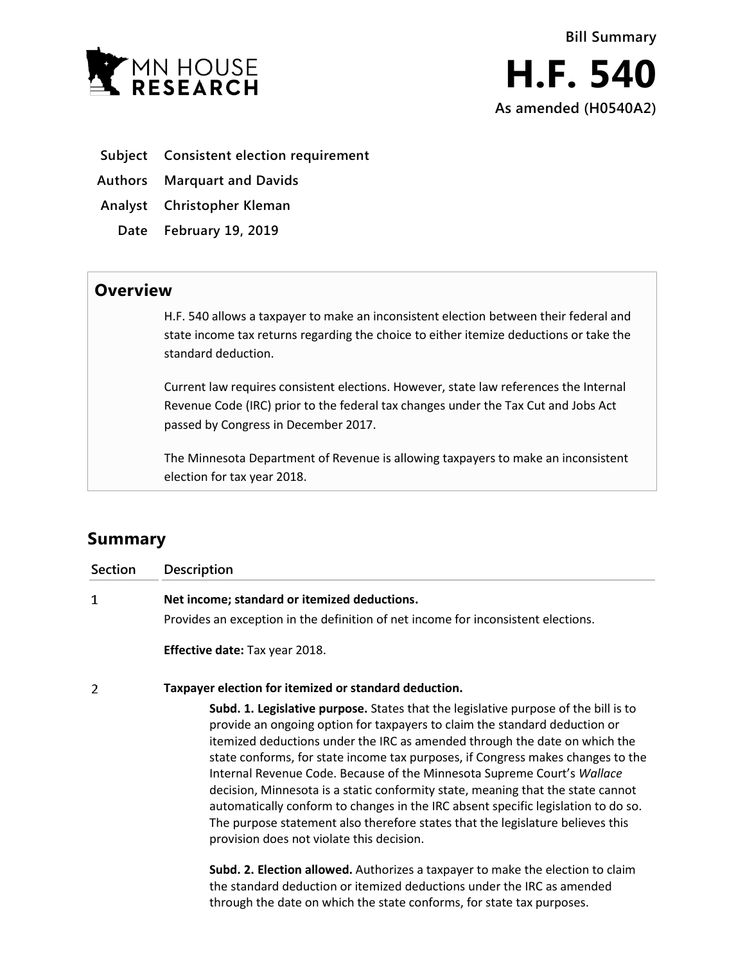

- **Subject Consistent election requirement**
- **Authors Marquart and Davids**
- **Analyst Christopher Kleman**
- **Date February 19, 2019**

## **Overview**

H.F. 540 allows a taxpayer to make an inconsistent election between their federal and state income tax returns regarding the choice to either itemize deductions or take the standard deduction.

Current law requires consistent elections. However, state law references the Internal Revenue Code (IRC) prior to the federal tax changes under the Tax Cut and Jobs Act passed by Congress in December 2017.

The Minnesota Department of Revenue is allowing taxpayers to make an inconsistent election for tax year 2018.

## **Summary**

| <b>Section</b> | <b>Description</b>                                                                                                                                                                                                                                                                                                                                                                                                                                                                                                                                                                                                                                                                                                   |
|----------------|----------------------------------------------------------------------------------------------------------------------------------------------------------------------------------------------------------------------------------------------------------------------------------------------------------------------------------------------------------------------------------------------------------------------------------------------------------------------------------------------------------------------------------------------------------------------------------------------------------------------------------------------------------------------------------------------------------------------|
| 1              | Net income; standard or itemized deductions.                                                                                                                                                                                                                                                                                                                                                                                                                                                                                                                                                                                                                                                                         |
|                | Provides an exception in the definition of net income for inconsistent elections.                                                                                                                                                                                                                                                                                                                                                                                                                                                                                                                                                                                                                                    |
|                | <b>Effective date: Tax year 2018.</b>                                                                                                                                                                                                                                                                                                                                                                                                                                                                                                                                                                                                                                                                                |
| 2              | Taxpayer election for itemized or standard deduction.                                                                                                                                                                                                                                                                                                                                                                                                                                                                                                                                                                                                                                                                |
|                | Subd. 1. Legislative purpose. States that the legislative purpose of the bill is to<br>provide an ongoing option for taxpayers to claim the standard deduction or<br>itemized deductions under the IRC as amended through the date on which the<br>state conforms, for state income tax purposes, if Congress makes changes to the<br>Internal Revenue Code. Because of the Minnesota Supreme Court's Wallace<br>decision, Minnesota is a static conformity state, meaning that the state cannot<br>automatically conform to changes in the IRC absent specific legislation to do so.<br>The purpose statement also therefore states that the legislature believes this<br>provision does not violate this decision. |
|                | Subd. 2. Election allowed. Authorizes a taxpayer to make the election to claim<br>$\mathbf{a}$ . In the state of the state of the state of the state of the state of the state of the state of the state of the state of the state of the state of the state of the state of the state of the state of the state of                                                                                                                                                                                                                                                                                                                                                                                                  |

the standard deduction or itemized deductions under the IRC as amended through the date on which the state conforms, for state tax purposes.